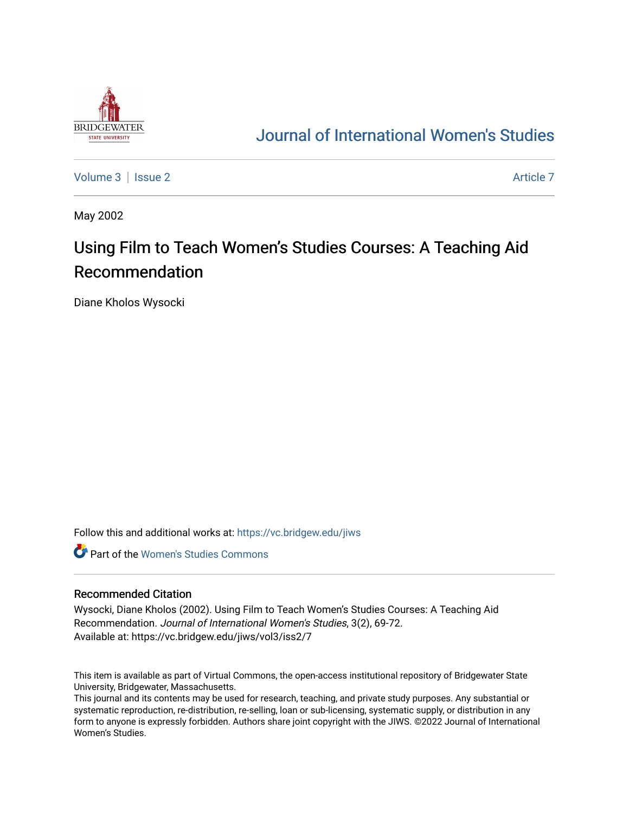

## [Journal of International Women's Studies](https://vc.bridgew.edu/jiws)

[Volume 3](https://vc.bridgew.edu/jiws/vol3) | [Issue 2](https://vc.bridgew.edu/jiws/vol3/iss2) Article 7

May 2002

# Using Film to Teach Women's Studies Courses: A Teaching Aid Recommendation

Diane Kholos Wysocki

Follow this and additional works at: [https://vc.bridgew.edu/jiws](https://vc.bridgew.edu/jiws?utm_source=vc.bridgew.edu%2Fjiws%2Fvol3%2Fiss2%2F7&utm_medium=PDF&utm_campaign=PDFCoverPages)

**C** Part of the Women's Studies Commons

#### Recommended Citation

Wysocki, Diane Kholos (2002). Using Film to Teach Women's Studies Courses: A Teaching Aid Recommendation. Journal of International Women's Studies, 3(2), 69-72. Available at: https://vc.bridgew.edu/jiws/vol3/iss2/7

This item is available as part of Virtual Commons, the open-access institutional repository of Bridgewater State University, Bridgewater, Massachusetts.

This journal and its contents may be used for research, teaching, and private study purposes. Any substantial or systematic reproduction, re-distribution, re-selling, loan or sub-licensing, systematic supply, or distribution in any form to anyone is expressly forbidden. Authors share joint copyright with the JIWS. ©2022 Journal of International Women's Studies.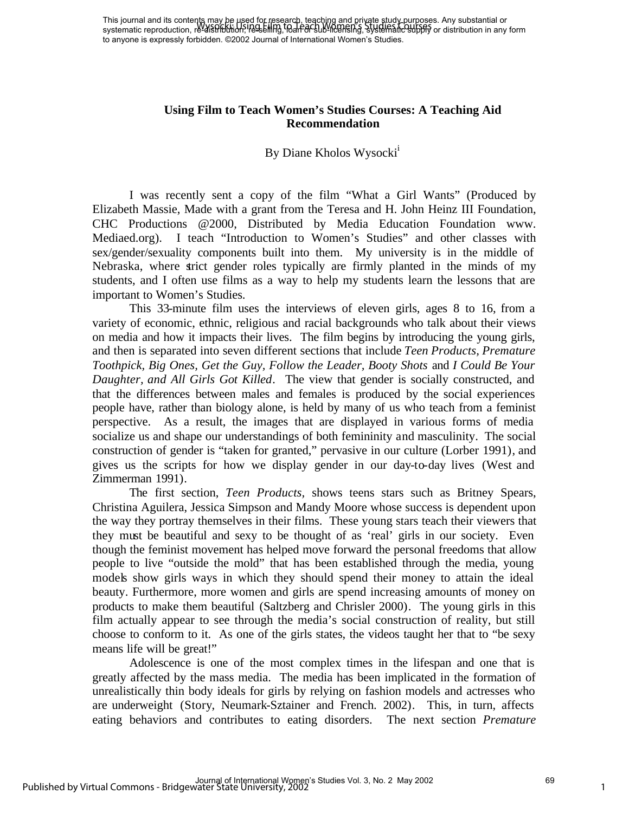### **Using Film to Teach Women's Studies Courses: A Teaching Aid Recommendation**

#### By Diane Kholos Wysocki<sup>i</sup>

I was recently sent a copy of the film "What a Girl Wants" (Produced by Elizabeth Massie, Made with a grant from the Teresa and H. John Heinz III Foundation, CHC Productions @2000, Distributed by Media Education Foundation www. Mediaed.org). I teach "Introduction to Women's Studies" and other classes with sex/gender/sexuality components built into them. My university is in the middle of Nebraska, where strict gender roles typically are firmly planted in the minds of my students, and I often use films as a way to help my students learn the lessons that are important to Women's Studies.

This 33-minute film uses the interviews of eleven girls, ages 8 to 16, from a variety of economic, ethnic, religious and racial backgrounds who talk about their views on media and how it impacts their lives. The film begins by introducing the young girls, and then is separated into seven different sections that include *Teen Products, Premature Toothpick, Big Ones, Get the Guy, Follow the Leader, Booty Shots* and *I Could Be Your Daughter, and All Girls Got Killed.* The view that gender is socially constructed, and that the differences between males and females is produced by the social experiences people have, rather than biology alone, is held by many of us who teach from a feminist perspective. As a result, the images that are displayed in various forms of media socialize us and shape our understandings of both femininity and masculinity. The social construction of gender is "taken for granted," pervasive in our culture (Lorber 1991), and gives us the scripts for how we display gender in our day-to-day lives (West and Zimmerman 1991).

The first section, *Teen Products,* shows teens stars such as Britney Spears, Christina Aguilera, Jessica Simpson and Mandy Moore whose success is dependent upon the way they portray themselves in their films. These young stars teach their viewers that they must be beautiful and sexy to be thought of as 'real' girls in our society. Even though the feminist movement has helped move forward the personal freedoms that allow people to live "outside the mold" that has been established through the media, young models show girls ways in which they should spend their money to attain the ideal beauty. Furthermore, more women and girls are spend increasing amounts of money on products to make them beautiful (Saltzberg and Chrisler 2000). The young girls in this film actually appear to see through the media's social construction of reality, but still choose to conform to it. As one of the girls states, the videos taught her that to "be sexy means life will be great!"

Adolescence is one of the most complex times in the lifespan and one that is greatly affected by the mass media. The media has been implicated in the formation of unrealistically thin body ideals for girls by relying on fashion models and actresses who are underweight (Story, Neumark-Sztainer and French. 2002). This, in turn, affects eating behaviors and contributes to eating disorders. The next section *Premature*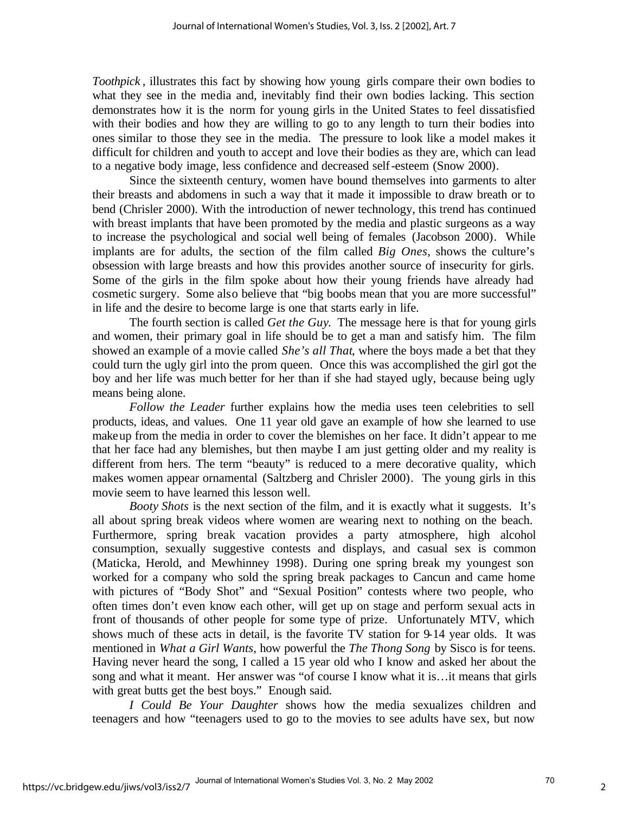*Toothpick* , illustrates this fact by showing how young girls compare their own bodies to what they see in the media and, inevitably find their own bodies lacking. This section demonstrates how it is the norm for young girls in the United States to feel dissatisfied with their bodies and how they are willing to go to any length to turn their bodies into ones similar to those they see in the media. The pressure to look like a model makes it difficult for children and youth to accept and love their bodies as they are, which can lead to a negative body image, less confidence and decreased self-esteem (Snow 2000).

Since the sixteenth century, women have bound themselves into garments to alter their breasts and abdomens in such a way that it made it impossible to draw breath or to bend (Chrisler 2000). With the introduction of newer technology, this trend has continued with breast implants that have been promoted by the media and plastic surgeons as a way to increase the psychological and social well being of females (Jacobson 2000). While implants are for adults, the section of the film called *Big Ones*, shows the culture's obsession with large breasts and how this provides another source of insecurity for girls. Some of the girls in the film spoke about how their young friends have already had cosmetic surgery. Some also believe that "big boobs mean that you are more successful" in life and the desire to become large is one that starts early in life.

The fourth section is called *Get the Guy*. The message here is that for young girls and women, their primary goal in life should be to get a man and satisfy him. The film showed an example of a movie called *She's all That*, where the boys made a bet that they could turn the ugly girl into the prom queen. Once this was accomplished the girl got the boy and her life was much better for her than if she had stayed ugly, because being ugly means being alone.

*Follow the Leader* further explains how the media uses teen celebrities to sell products, ideas, and values. One 11 year old gave an example of how she learned to use makeup from the media in order to cover the blemishes on her face. It didn't appear to me that her face had any blemishes, but then maybe I am just getting older and my reality is different from hers. The term "beauty" is reduced to a mere decorative quality, which makes women appear ornamental (Saltzberg and Chrisler 2000). The young girls in this movie seem to have learned this lesson well.

*Booty Shots* is the next section of the film, and it is exactly what it suggests. It's all about spring break videos where women are wearing next to nothing on the beach. Furthermore, spring break vacation provides a party atmosphere, high alcohol consumption, sexually suggestive contests and displays, and casual sex is common (Maticka, Herold, and Mewhinney 1998). During one spring break my youngest son worked for a company who sold the spring break packages to Cancun and came home with pictures of "Body Shot" and "Sexual Position" contests where two people, who often times don't even know each other, will get up on stage and perform sexual acts in front of thousands of other people for some type of prize. Unfortunately MTV, which shows much of these acts in detail, is the favorite TV station for 9-14 year olds. It was mentioned in *What a Girl Wants*, how powerful the *The Thong Song* by Sisco is for teens. Having never heard the song, I called a 15 year old who I know and asked her about the song and what it meant. Her answer was "of course I know what it is…it means that girls with great butts get the best boys." Enough said.

*I Could Be Your Daughter* shows how the media sexualizes children and teenagers and how "teenagers used to go to the movies to see adults have sex, but now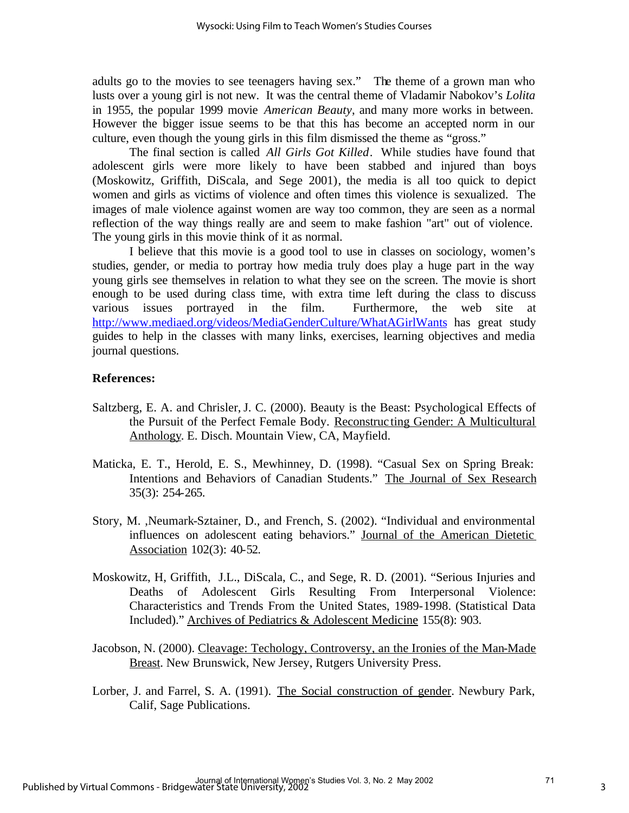adults go to the movies to see teenagers having sex." The theme of a grown man who lusts over a young girl is not new. It was the central theme of Vladamir Nabokov's *Lolita* in 1955, the popular 1999 movie *American Beauty*, and many more works in between. However the bigger issue seems to be that this has become an accepted norm in our culture, even though the young girls in this film dismissed the theme as "gross."

The final section is called *All Girls Got Killed*. While studies have found that adolescent girls were more likely to have been stabbed and injured than boys (Moskowitz, Griffith, DiScala, and Sege 2001), the media is all too quick to depict women and girls as victims of violence and often times this violence is sexualized. The images of male violence against women are way too common, they are seen as a normal reflection of the way things really are and seem to make fashion "art" out of violence. The young girls in this movie think of it as normal.

I believe that this movie is a good tool to use in classes on sociology, women's studies, gender, or media to portray how media truly does play a huge part in the way young girls see themselves in relation to what they see on the screen. The movie is short enough to be used during class time, with extra time left during the class to discuss various issues portrayed in the film. Furthermore, the web site at http://www.mediaed.org/videos/MediaGenderCulture/WhatAGirlWants has great study guides to help in the classes with many links, exercises, learning objectives and media journal questions.

#### **References:**

- Saltzberg, E. A. and Chrisler, J. C. (2000). Beauty is the Beast: Psychological Effects of the Pursuit of the Perfect Female Body. Reconstruc ting Gender: A Multicultural Anthology. E. Disch. Mountain View, CA, Mayfield.
- Maticka, E. T., Herold, E. S., Mewhinney, D. (1998). "Casual Sex on Spring Break: Intentions and Behaviors of Canadian Students." The Journal of Sex Research 35(3): 254-265.
- Story, M. ,Neumark-Sztainer, D., and French, S. (2002). "Individual and environmental influences on adolescent eating behaviors." Journal of the American Dietetic Association 102(3): 40-52.
- Moskowitz, H, Griffith, J.L., DiScala, C., and Sege, R. D. (2001). "Serious Injuries and Deaths of Adolescent Girls Resulting From Interpersonal Violence: Characteristics and Trends From the United States, 1989-1998. (Statistical Data Included)." Archives of Pediatrics & Adolescent Medicine 155(8): 903.
- Jacobson, N. (2000). Cleavage: Techology, Controversy, an the Ironies of the Man-Made Breast. New Brunswick, New Jersey, Rutgers University Press.
- Lorber, J. and Farrel, S. A. (1991). The Social construction of gender. Newbury Park, Calif, Sage Publications.